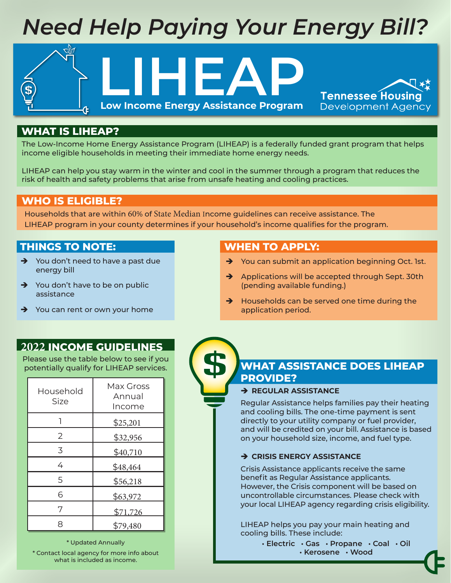# *Need Help Paying Your Energy Bill?*

**LIHEAP**

**Low Income Energy Assistance Program**

## **WHAT IS LIHEAP?**

The Low-Income Home Energy Assistance Program (LIHEAP) is a federally funded grant program that helps income eligible households in meeting their immediate home energy needs.

LIHEAP can help you stay warm in the winter and cool in the summer through a program that reduces the risk of health and safety problems that arise from unsafe heating and cooling practices.

## **WHO IS ELIGIBLE?**

Households that are within 60% of State Median Income guidelines can receive assistance. The LIHEAP program in your county determines if your household's income qualifies for the program.

## **THINGS TO NOTE:**

- $\rightarrow$  You don't need to have a past due energy bill
- $\rightarrow$  You don't have to be on public assistance
- $\rightarrow$  You can rent or own your home

#### $\rightarrow$  Applications will be accepted through Sept. 30th (pending available funding.)

 $\rightarrow$  Households can be served one time during the application period.

 $\rightarrow$  You can submit an application beginning Oct. 1st.

**Tennessee Housing Development Agency** 

## **2022 INCOME GUIDELINES**

Please use the table below to see if you potentially qualify for LIHEAP services.

| Household<br>Size | Max Gross<br>Annual<br>Income |
|-------------------|-------------------------------|
|                   | \$25,201                      |
| 2                 | \$32,956                      |
| 3                 | \$40,710                      |
| 4                 | \$48,464                      |
| 5                 | \$56,218                      |
| 6                 | \$63,972                      |
| 7                 | \$71,726                      |
|                   | \$79,480                      |

\* Updated Annually

\* Contact local agency for more info about what is included as income.

# **WHAT ASSISTANCE DOES LIHEAP PROVIDE?**

## **REGULAR ASSISTANCE**

**WHEN TO APPLY:**

Regular Assistance helps families pay their heating and cooling bills. The one-time payment is sent directly to your utility company or fuel provider, and will be credited on your bill. Assistance is based on your household size, income, and fuel type.

## $\rightarrow$  **CRISIS ENERGY ASSISTANCE**

Crisis Assistance applicants receive the same benefit as Regular Assistance applicants. However, the Crisis component will be based on uncontrollable circumstances. Please check with your local LIHEAP agency regarding crisis eligibility.

LIHEAP helps you pay your main heating and cooling bills. These include:

> **• Electric • Gas • Propane • Coal • Oil • Kerosene • Wood**